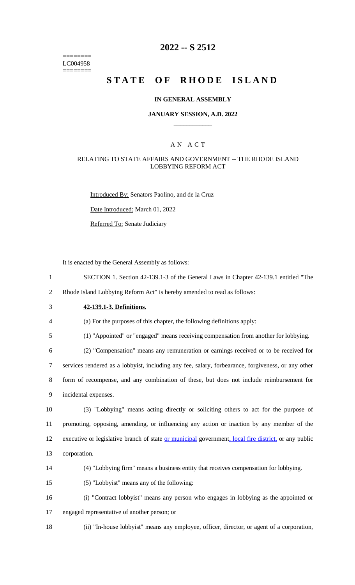======== LC004958 ========

## **2022 -- S 2512**

# **STATE OF RHODE ISLAND**

#### **IN GENERAL ASSEMBLY**

#### **JANUARY SESSION, A.D. 2022 \_\_\_\_\_\_\_\_\_\_\_\_**

### A N A C T

#### RELATING TO STATE AFFAIRS AND GOVERNMENT -- THE RHODE ISLAND LOBBYING REFORM ACT

Introduced By: Senators Paolino, and de la Cruz

Date Introduced: March 01, 2022

Referred To: Senate Judiciary

It is enacted by the General Assembly as follows:

1 SECTION 1. Section 42-139.1-3 of the General Laws in Chapter 42-139.1 entitled "The

2 Rhode Island Lobbying Reform Act" is hereby amended to read as follows:

## 3 **42-139.1-3. Definitions.**

4 (a) For the purposes of this chapter, the following definitions apply:

5 (1) "Appointed" or "engaged" means receiving compensation from another for lobbying.

 (2) "Compensation" means any remuneration or earnings received or to be received for services rendered as a lobbyist, including any fee, salary, forbearance, forgiveness, or any other form of recompense, and any combination of these, but does not include reimbursement for incidental expenses.

 (3) "Lobbying" means acting directly or soliciting others to act for the purpose of promoting, opposing, amending, or influencing any action or inaction by any member of the 12 executive or legislative branch of state or municipal government, local fire district, or any public corporation.



15 (5) "Lobbyist" means any of the following:

16 (i) "Contract lobbyist" means any person who engages in lobbying as the appointed or

- 17 engaged representative of another person; or
- 

18 (ii) "In-house lobbyist" means any employee, officer, director, or agent of a corporation,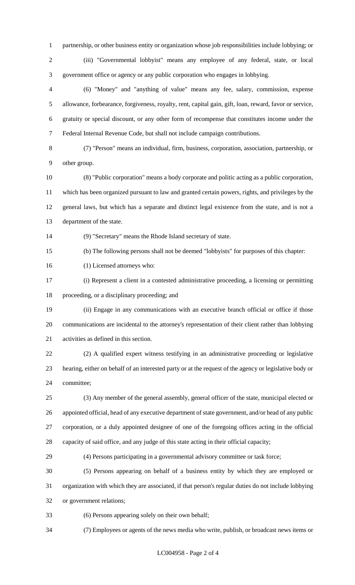partnership, or other business entity or organization whose job responsibilities include lobbying; or

 (iii) "Governmental lobbyist" means any employee of any federal, state, or local government office or agency or any public corporation who engages in lobbying.

 (6) "Money" and "anything of value" means any fee, salary, commission, expense allowance, forbearance, forgiveness, royalty, rent, capital gain, gift, loan, reward, favor or service, gratuity or special discount, or any other form of recompense that constitutes income under the Federal Internal Revenue Code, but shall not include campaign contributions.

 (7) "Person" means an individual, firm, business, corporation, association, partnership, or other group.

 (8) "Public corporation" means a body corporate and politic acting as a public corporation, which has been organized pursuant to law and granted certain powers, rights, and privileges by the general laws, but which has a separate and distinct legal existence from the state, and is not a department of the state.

(9) "Secretary" means the Rhode Island secretary of state.

(b) The following persons shall not be deemed "lobbyists" for purposes of this chapter:

(1) Licensed attorneys who:

 (i) Represent a client in a contested administrative proceeding, a licensing or permitting proceeding, or a disciplinary proceeding; and

 (ii) Engage in any communications with an executive branch official or office if those communications are incidental to the attorney's representation of their client rather than lobbying activities as defined in this section.

 (2) A qualified expert witness testifying in an administrative proceeding or legislative hearing, either on behalf of an interested party or at the request of the agency or legislative body or committee;

 (3) Any member of the general assembly, general officer of the state, municipal elected or appointed official, head of any executive department of state government, and/or head of any public corporation, or a duly appointed designee of one of the foregoing offices acting in the official capacity of said office, and any judge of this state acting in their official capacity;

(4) Persons participating in a governmental advisory committee or task force;

 (5) Persons appearing on behalf of a business entity by which they are employed or organization with which they are associated, if that person's regular duties do not include lobbying or government relations;

(6) Persons appearing solely on their own behalf;

(7) Employees or agents of the news media who write, publish, or broadcast news items or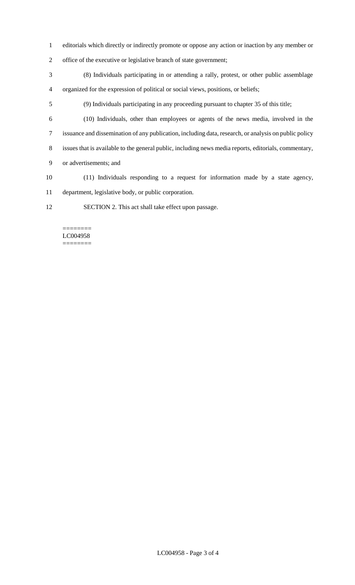- editorials which directly or indirectly promote or oppose any action or inaction by any member or
- office of the executive or legislative branch of state government;
- (8) Individuals participating in or attending a rally, protest, or other public assemblage organized for the expression of political or social views, positions, or beliefs;
- (9) Individuals participating in any proceeding pursuant to chapter 35 of this title;
- (10) Individuals, other than employees or agents of the news media, involved in the
- issuance and dissemination of any publication, including data, research, or analysis on public policy
- issues that is available to the general public, including news media reports, editorials, commentary,
- or advertisements; and
- (11) Individuals responding to a request for information made by a state agency, department, legislative body, or public corporation.
- SECTION 2. This act shall take effect upon passage.

#### ======== LC004958 ========